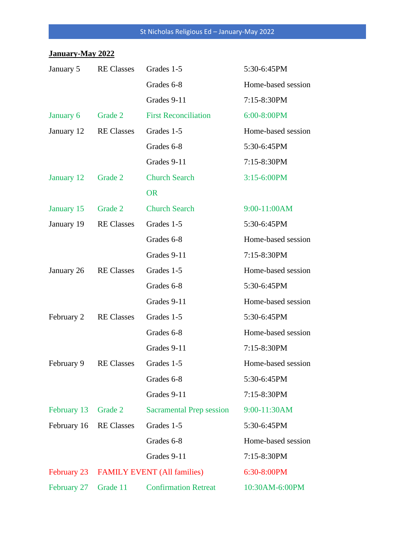## **January-May 2022**

| January 5              | <b>RE</b> Classes | Grades 1-5                              | 5:30-6:45PM        |  |
|------------------------|-------------------|-----------------------------------------|--------------------|--|
|                        |                   | Grades 6-8                              | Home-based session |  |
|                        |                   | Grades 9-11                             | 7:15-8:30PM        |  |
| January 6              | Grade 2           | <b>First Reconciliation</b>             | 6:00-8:00PM        |  |
| January 12             | <b>RE Classes</b> | Grades 1-5                              | Home-based session |  |
|                        |                   | Grades 6-8                              | 5:30-6:45PM        |  |
|                        |                   | Grades 9-11                             | 7:15-8:30PM        |  |
| January 12             | Grade 2           | <b>Church Search</b>                    | 3:15-6:00PM        |  |
|                        |                   | <b>OR</b>                               |                    |  |
| January 15             | Grade 2           | <b>Church Search</b>                    | 9:00-11:00AM       |  |
| January 19             | <b>RE</b> Classes | Grades 1-5                              | 5:30-6:45PM        |  |
|                        |                   | Grades 6-8                              | Home-based session |  |
|                        |                   | Grades 9-11                             | 7:15-8:30PM        |  |
| January 26             | <b>RE</b> Classes | Grades 1-5                              | Home-based session |  |
|                        |                   | Grades 6-8                              | 5:30-6:45PM        |  |
|                        |                   | Grades 9-11                             | Home-based session |  |
| February 2             | <b>RE</b> Classes | Grades 1-5                              | 5:30-6:45PM        |  |
|                        |                   | Grades 6-8                              | Home-based session |  |
|                        |                   | Grades 9-11                             | 7:15-8:30PM        |  |
| February 9             | <b>RE Classes</b> | Grades 1-5                              | Home-based session |  |
|                        |                   | Grades 6-8                              | 5:30-6:45PM        |  |
|                        |                   | Grades 9-11                             | 7:15-8:30PM        |  |
| February 13            | Grade 2           | <b>Sacramental Prep session</b>         | 9:00-11:30AM       |  |
| February 16 RE Classes |                   | Grades 1-5                              | 5:30-6:45PM        |  |
|                        |                   | Grades 6-8                              | Home-based session |  |
|                        |                   | Grades 9-11                             | 7:15-8:30PM        |  |
|                        |                   | February 23 FAMILY EVENT (All families) | 6:30-8:00PM        |  |
| February 27            | Grade 11          | <b>Confirmation Retreat</b>             | 10:30AM-6:00PM     |  |